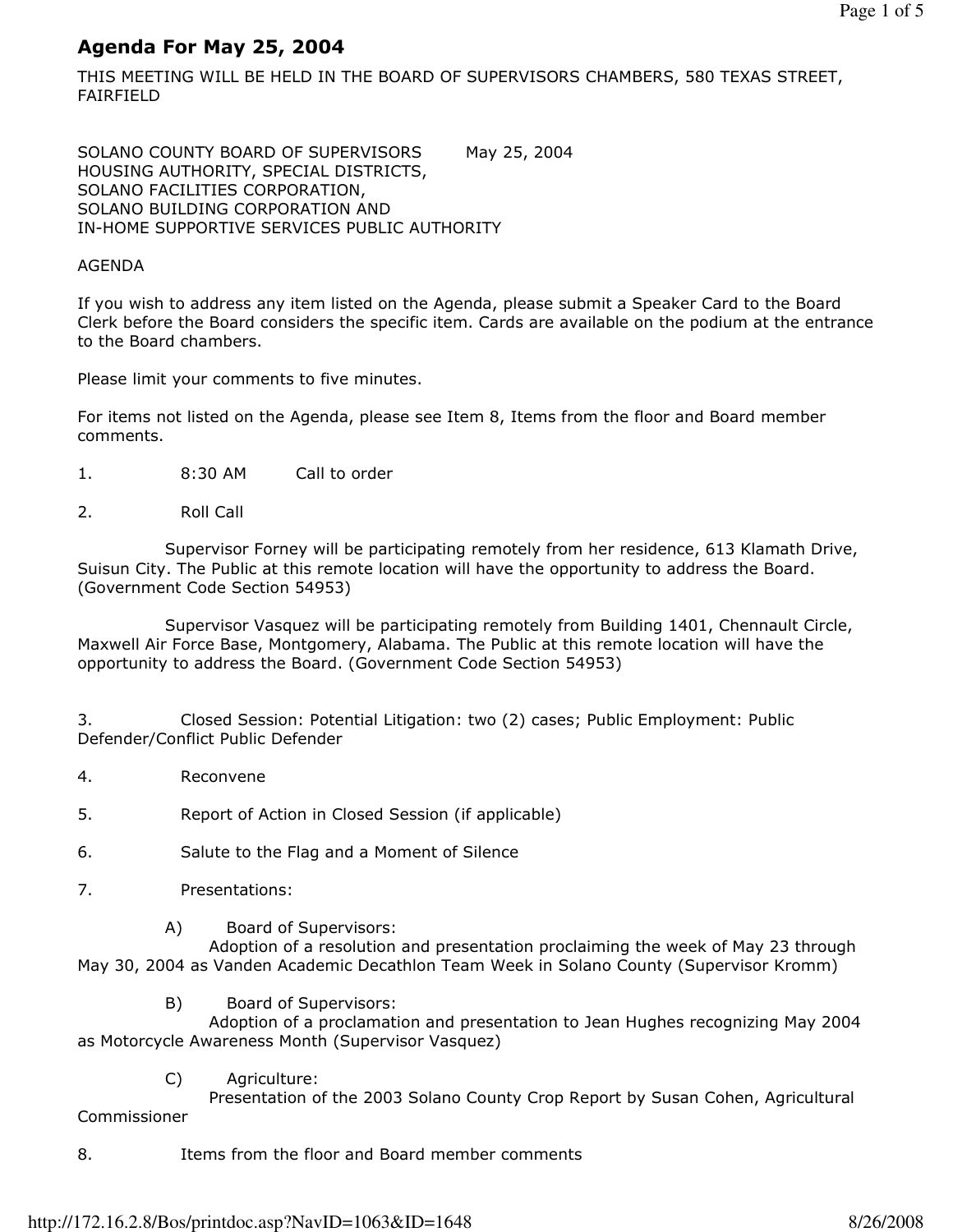# Agenda For May 25, 2004

THIS MEETING WILL BE HELD IN THE BOARD OF SUPERVISORS CHAMBERS, 580 TEXAS STREET, FAIRFIELD

SOLANO COUNTY BOARD OF SUPERVISORS May 25, 2004 HOUSING AUTHORITY, SPECIAL DISTRICTS, SOLANO FACILITIES CORPORATION, SOLANO BUILDING CORPORATION AND IN-HOME SUPPORTIVE SERVICES PUBLIC AUTHORITY

## AGENDA

If you wish to address any item listed on the Agenda, please submit a Speaker Card to the Board Clerk before the Board considers the specific item. Cards are available on the podium at the entrance to the Board chambers.

Please limit your comments to five minutes.

For items not listed on the Agenda, please see Item 8, Items from the floor and Board member comments.

- 1. 8:30 AM Call to order
- 2. Roll Call

 Supervisor Forney will be participating remotely from her residence, 613 Klamath Drive, Suisun City. The Public at this remote location will have the opportunity to address the Board. (Government Code Section 54953)

 Supervisor Vasquez will be participating remotely from Building 1401, Chennault Circle, Maxwell Air Force Base, Montgomery, Alabama. The Public at this remote location will have the opportunity to address the Board. (Government Code Section 54953)

3. Closed Session: Potential Litigation: two (2) cases; Public Employment: Public Defender/Conflict Public Defender

4. Reconvene

5. Report of Action in Closed Session (if applicable)

- 6. Salute to the Flag and a Moment of Silence
- 7. Presentations:
	- A) Board of Supervisors:

 Adoption of a resolution and presentation proclaiming the week of May 23 through May 30, 2004 as Vanden Academic Decathlon Team Week in Solano County (Supervisor Kromm)

B) Board of Supervisors:

 Adoption of a proclamation and presentation to Jean Hughes recognizing May 2004 as Motorcycle Awareness Month (Supervisor Vasquez)

C) Agriculture:

 Presentation of the 2003 Solano County Crop Report by Susan Cohen, Agricultural Commissioner

8. Items from the floor and Board member comments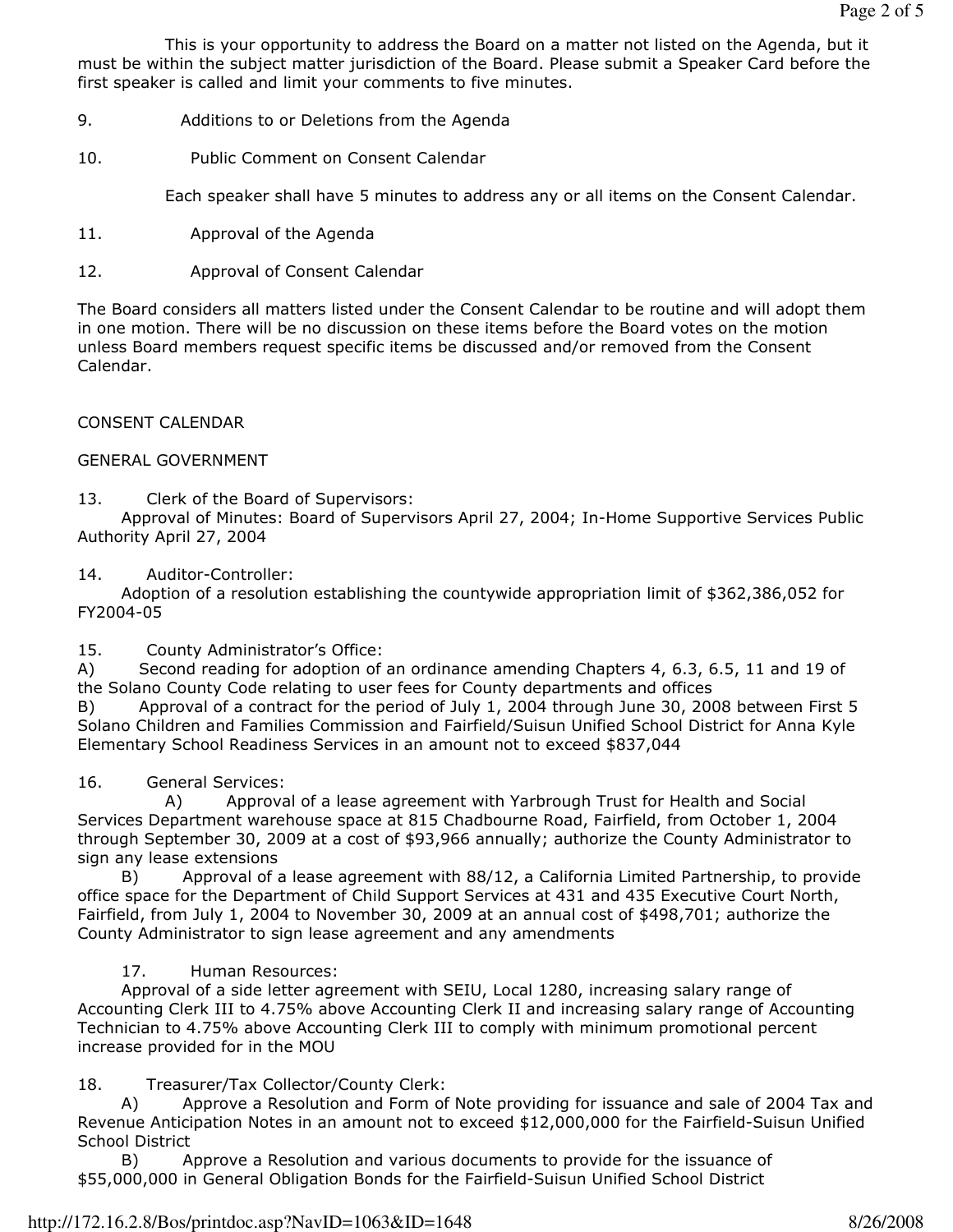This is your opportunity to address the Board on a matter not listed on the Agenda, but it must be within the subject matter jurisdiction of the Board. Please submit a Speaker Card before the first speaker is called and limit your comments to five minutes.

- 9. Additions to or Deletions from the Agenda
- 10. Public Comment on Consent Calendar

Each speaker shall have 5 minutes to address any or all items on the Consent Calendar.

- 11. Approval of the Agenda
- 12. Approval of Consent Calendar

The Board considers all matters listed under the Consent Calendar to be routine and will adopt them in one motion. There will be no discussion on these items before the Board votes on the motion unless Board members request specific items be discussed and/or removed from the Consent Calendar.

CONSENT CALENDAR

## GENERAL GOVERNMENT

13. Clerk of the Board of Supervisors:

 Approval of Minutes: Board of Supervisors April 27, 2004; In-Home Supportive Services Public Authority April 27, 2004

## 14. Auditor-Controller:

 Adoption of a resolution establishing the countywide appropriation limit of \$362,386,052 for FY2004-05

## 15. County Administrator's Office:

A) Second reading for adoption of an ordinance amending Chapters 4, 6.3, 6.5, 11 and 19 of the Solano County Code relating to user fees for County departments and offices

B) Approval of a contract for the period of July 1, 2004 through June 30, 2008 between First 5 Solano Children and Families Commission and Fairfield/Suisun Unified School District for Anna Kyle Elementary School Readiness Services in an amount not to exceed \$837,044

## 16. General Services:

 A) Approval of a lease agreement with Yarbrough Trust for Health and Social Services Department warehouse space at 815 Chadbourne Road, Fairfield, from October 1, 2004 through September 30, 2009 at a cost of \$93,966 annually; authorize the County Administrator to sign any lease extensions

 B) Approval of a lease agreement with 88/12, a California Limited Partnership, to provide office space for the Department of Child Support Services at 431 and 435 Executive Court North, Fairfield, from July 1, 2004 to November 30, 2009 at an annual cost of \$498,701; authorize the County Administrator to sign lease agreement and any amendments

## 17. Human Resources:

 Approval of a side letter agreement with SEIU, Local 1280, increasing salary range of Accounting Clerk III to 4.75% above Accounting Clerk II and increasing salary range of Accounting Technician to 4.75% above Accounting Clerk III to comply with minimum promotional percent increase provided for in the MOU

## 18. Treasurer/Tax Collector/County Clerk:

 A) Approve a Resolution and Form of Note providing for issuance and sale of 2004 Tax and Revenue Anticipation Notes in an amount not to exceed \$12,000,000 for the Fairfield-Suisun Unified School District

 B) Approve a Resolution and various documents to provide for the issuance of \$55,000,000 in General Obligation Bonds for the Fairfield-Suisun Unified School District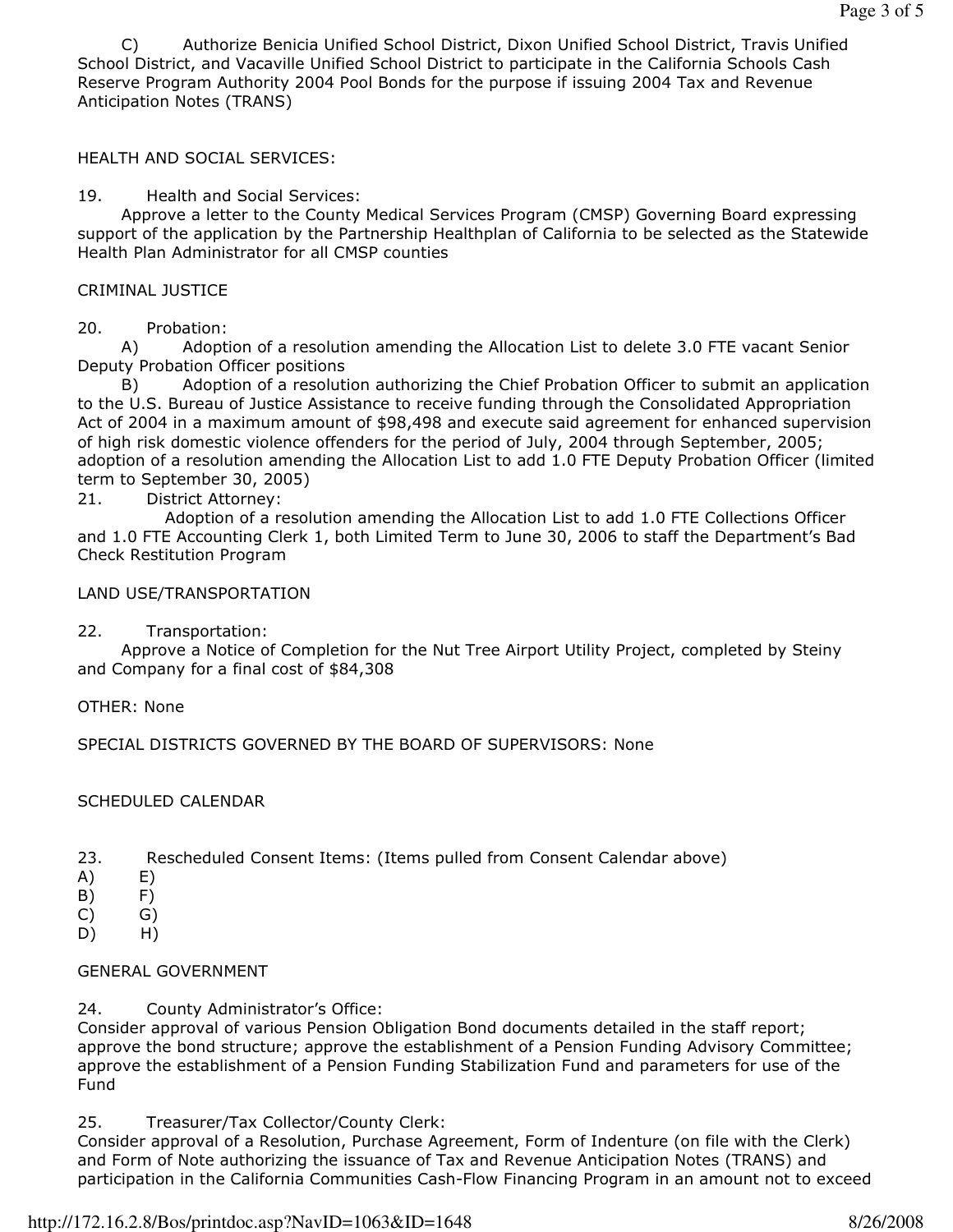C) Authorize Benicia Unified School District, Dixon Unified School District, Travis Unified School District, and Vacaville Unified School District to participate in the California Schools Cash Reserve Program Authority 2004 Pool Bonds for the purpose if issuing 2004 Tax and Revenue Anticipation Notes (TRANS)

HEALTH AND SOCIAL SERVICES:

19. Health and Social Services:

 Approve a letter to the County Medical Services Program (CMSP) Governing Board expressing support of the application by the Partnership Healthplan of California to be selected as the Statewide Health Plan Administrator for all CMSP counties

# CRIMINAL JUSTICE

# 20. Probation:

 A) Adoption of a resolution amending the Allocation List to delete 3.0 FTE vacant Senior Deputy Probation Officer positions

 B) Adoption of a resolution authorizing the Chief Probation Officer to submit an application to the U.S. Bureau of Justice Assistance to receive funding through the Consolidated Appropriation Act of 2004 in a maximum amount of \$98,498 and execute said agreement for enhanced supervision of high risk domestic violence offenders for the period of July, 2004 through September, 2005; adoption of a resolution amending the Allocation List to add 1.0 FTE Deputy Probation Officer (limited term to September 30, 2005)

21. District Attorney:

 Adoption of a resolution amending the Allocation List to add 1.0 FTE Collections Officer and 1.0 FTE Accounting Clerk 1, both Limited Term to June 30, 2006 to staff the Department's Bad Check Restitution Program

LAND USE/TRANSPORTATION

22. Transportation:

 Approve a Notice of Completion for the Nut Tree Airport Utility Project, completed by Steiny and Company for a final cost of \$84,308

OTHER: None

SPECIAL DISTRICTS GOVERNED BY THE BOARD OF SUPERVISORS: None

## SCHEDULED CALENDAR

- 23. Rescheduled Consent Items: (Items pulled from Consent Calendar above)
- A) E)
- B) F)
- C) G)
- D) H)

# GENERAL GOVERNMENT

24. County Administrator's Office:

Consider approval of various Pension Obligation Bond documents detailed in the staff report; approve the bond structure; approve the establishment of a Pension Funding Advisory Committee; approve the establishment of a Pension Funding Stabilization Fund and parameters for use of the Fund

25. Treasurer/Tax Collector/County Clerk:

Consider approval of a Resolution, Purchase Agreement, Form of Indenture (on file with the Clerk) and Form of Note authorizing the issuance of Tax and Revenue Anticipation Notes (TRANS) and participation in the California Communities Cash-Flow Financing Program in an amount not to exceed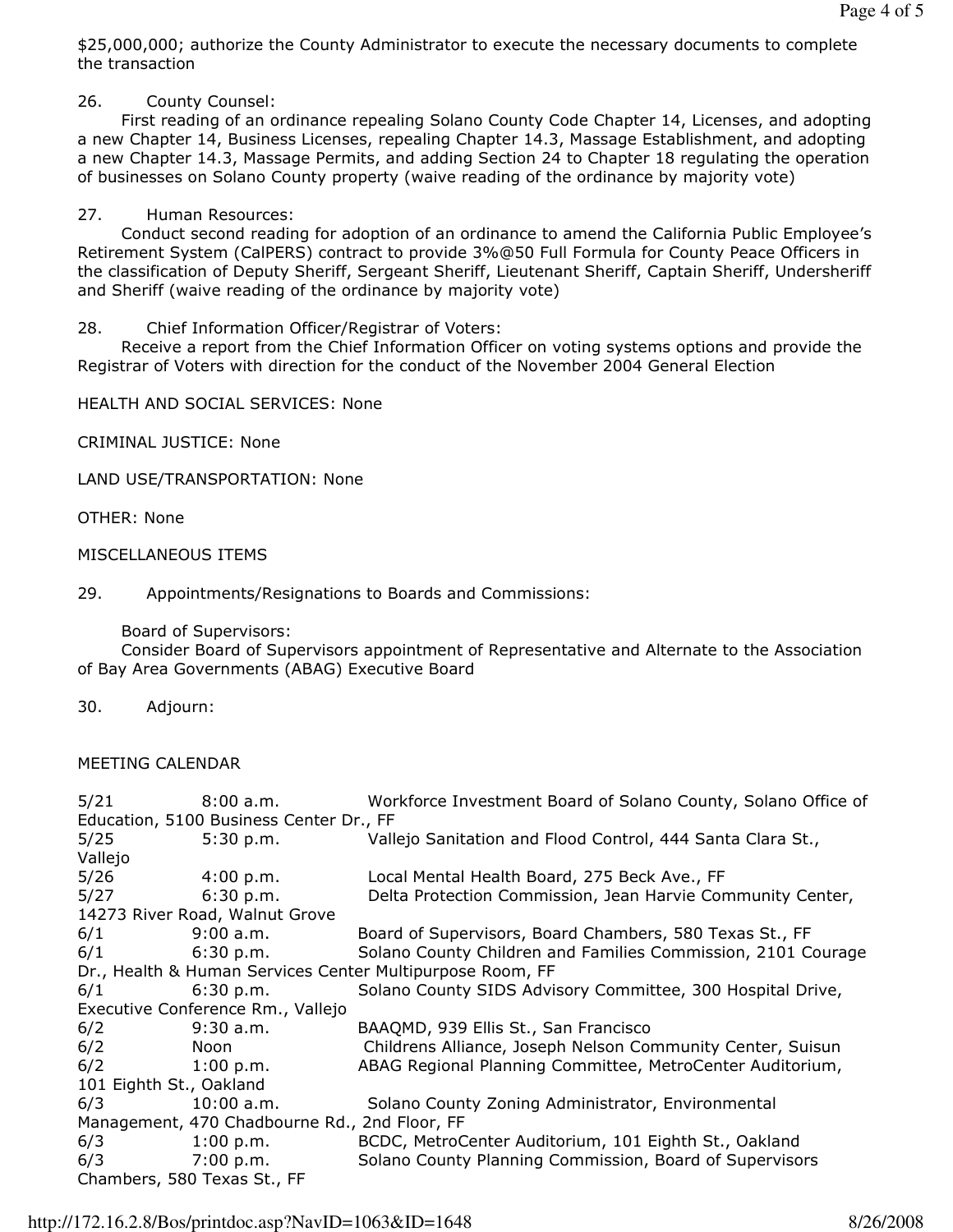\$25,000,000; authorize the County Administrator to execute the necessary documents to complete the transaction

26. County Counsel:

 First reading of an ordinance repealing Solano County Code Chapter 14, Licenses, and adopting a new Chapter 14, Business Licenses, repealing Chapter 14.3, Massage Establishment, and adopting a new Chapter 14.3, Massage Permits, and adding Section 24 to Chapter 18 regulating the operation of businesses on Solano County property (waive reading of the ordinance by majority vote)

# 27. Human Resources:

 Conduct second reading for adoption of an ordinance to amend the California Public Employee's Retirement System (CalPERS) contract to provide 3%@50 Full Formula for County Peace Officers in the classification of Deputy Sheriff, Sergeant Sheriff, Lieutenant Sheriff, Captain Sheriff, Undersheriff and Sheriff (waive reading of the ordinance by majority vote)

# 28. Chief Information Officer/Registrar of Voters:

 Receive a report from the Chief Information Officer on voting systems options and provide the Registrar of Voters with direction for the conduct of the November 2004 General Election

HEALTH AND SOCIAL SERVICES: None

CRIMINAL JUSTICE: None

LAND USE/TRANSPORTATION: None

OTHER: None

# MISCELLANEOUS ITEMS

29. Appointments/Resignations to Boards and Commissions:

Board of Supervisors:

 Consider Board of Supervisors appointment of Representative and Alternate to the Association of Bay Area Governments (ABAG) Executive Board

30. Adjourn:

# MEETING CALENDAR

| 5/21                                                      | 8:00 a.m.               | Workforce Investment Board of Solano County, Solano Office of |
|-----------------------------------------------------------|-------------------------|---------------------------------------------------------------|
| Education, 5100 Business Center Dr., FF                   |                         |                                                               |
| 5/25                                                      | 5:30 p.m.               | Vallejo Sanitation and Flood Control, 444 Santa Clara St.,    |
| Vallejo                                                   |                         |                                                               |
| 5/26                                                      | $4:00 \text{ p.m.}$     | Local Mental Health Board, 275 Beck Ave., FF                  |
| 5/27                                                      | $6:30$ p.m.             | Delta Protection Commission, Jean Harvie Community Center,    |
| 14273 River Road, Walnut Grove                            |                         |                                                               |
| 6/1                                                       | 9:00 a.m.               | Board of Supervisors, Board Chambers, 580 Texas St., FF       |
| 6/1                                                       | 6:30 p.m.               | Solano County Children and Families Commission, 2101 Courage  |
| Dr., Health & Human Services Center Multipurpose Room, FF |                         |                                                               |
| 6/1                                                       | 6:30 p.m.               | Solano County SIDS Advisory Committee, 300 Hospital Drive,    |
| Executive Conference Rm., Vallejo                         |                         |                                                               |
| 6/2                                                       | $9:30$ a.m.             | BAAQMD, 939 Ellis St., San Francisco                          |
| 6/2                                                       | Noon                    | Childrens Alliance, Joseph Nelson Community Center, Suisun    |
| 6/2                                                       | $1:00 \; \mathrm{p.m.}$ | ABAG Regional Planning Committee, MetroCenter Auditorium,     |
| 101 Eighth St., Oakland                                   |                         |                                                               |
| 6/3                                                       | $10:00$ a.m.            | Solano County Zoning Administrator, Environmental             |
| Management, 470 Chadbourne Rd., 2nd Floor, FF             |                         |                                                               |
| 6/3                                                       | 1:00 p.m.               | BCDC, MetroCenter Auditorium, 101 Eighth St., Oakland         |
| 6/3                                                       | 7:00 p.m.               | Solano County Planning Commission, Board of Supervisors       |
| Chambers, 580 Texas St., FF                               |                         |                                                               |